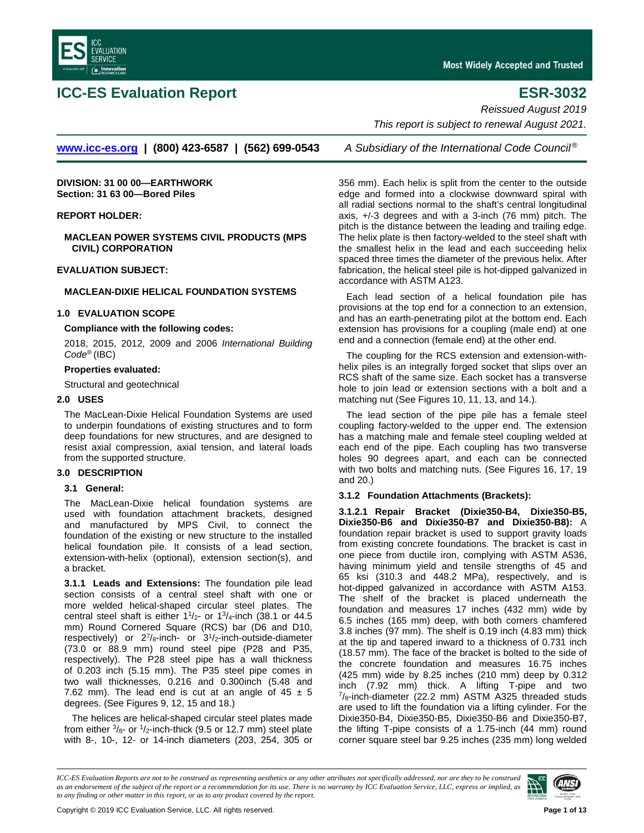

# **ICC-ES Evaluation Report ESR-3032**

*Reissued August 2019*

*This report is subject to renewal August 2021.*

**[www.icc-es.org](http://www.icc-es.org/) | (800) 423-6587 | (562) 699-0543** *A Subsidiary of the International Code Council ®*

**DIVISION: 31 00 00—EARTHWORK Section: 31 63 00—Bored Piles**

## **REPORT HOLDER:**

**MACLEAN POWER SYSTEMS CIVIL PRODUCTS (MPS CIVIL) CORPORATION**

#### **EVALUATION SUBJECT:**

## **MACLEAN-DIXIE HELICAL FOUNDATION SYSTEMS**

## **1.0 EVALUATION SCOPE**

## **Compliance with the following codes:**

2018, 2015, 2012, 2009 and 2006 *International Building Code*® (IBC)

## **Properties evaluated:**

Structural and geotechnical

## **2.0 USES**

The MacLean-Dixie Helical Foundation Systems are used to underpin foundations of existing structures and to form deep foundations for new structures, and are designed to resist axial compression, axial tension, and lateral loads from the supported structure.

#### **3.0 DESCRIPTION**

#### **3.1 General:**

The MacLean-Dixie helical foundation systems are used with foundation attachment brackets, designed and manufactured by MPS Civil, to connect the foundation of the existing or new structure to the installed helical foundation pile. It consists of a lead section, extension-with-helix (optional), extension section(s), and a bracket.

**3.1.1 Leads and Extensions:** The foundation pile lead section consists of a central steel shaft with one or more welded helical-shaped circular steel plates. The central steel shaft is either  $1\frac{1}{2}$ - or  $1\frac{3}{4}$ -inch (38.1 or 44.5) mm) Round Cornered Square (RCS) bar (D6 and D10, respectively) or  $2^{7}/_{8}$ -inch- or  $3^{1}/_{2}$ -inch-outside-diameter (73.0 or 88.9 mm) round steel pipe (P28 and P35, respectively). The P28 steel pipe has a wall thickness of 0.203 inch (5.15 mm). The P35 steel pipe comes in two wall thicknesses, 0.216 and 0.300inch (5.48 and 7.62 mm). The lead end is cut at an angle of  $45 \pm 5$ degrees. (See Figures 9, 12, 15 and 18.)

The helices are helical-shaped circular steel plates made from either  $\frac{3}{8}$ - or  $\frac{1}{2}$ -inch-thick (9.5 or 12.7 mm) steel plate with 8-, 10-, 12- or 14-inch diameters (203, 254, 305 or

356 mm). Each helix is split from the center to the outside edge and formed into a clockwise downward spiral with all radial sections normal to the shaft's central longitudinal axis, +/-3 degrees and with a 3-inch (76 mm) pitch. The pitch is the distance between the leading and trailing edge. The helix plate is then factory-welded to the steel shaft with the smallest helix in the lead and each succeeding helix spaced three times the diameter of the previous helix. After fabrication, the helical steel pile is hot-dipped galvanized in accordance with ASTM A123.

Each lead section of a helical foundation pile has provisions at the top end for a connection to an extension, and has an earth-penetrating pilot at the bottom end. Each extension has provisions for a coupling (male end) at one end and a connection (female end) at the other end.

The coupling for the RCS extension and extension-withhelix piles is an integrally forged socket that slips over an RCS shaft of the same size. Each socket has a transverse hole to join lead or extension sections with a bolt and a matching nut (See Figures 10, 11, 13, and 14.).

The lead section of the pipe pile has a female steel coupling factory-welded to the upper end. The extension has a matching male and female steel coupling welded at each end of the pipe. Each coupling has two transverse holes 90 degrees apart, and each can be connected with two bolts and matching nuts. (See Figures 16, 17, 19 and 20.)

## **3.1.2 Foundation Attachments (Brackets):**

**3.1.2.1 Repair Bracket (Dixie350-B4, Dixie350-B5, Dixie350-B6 and Dixie350-B7 and Dixie350-B8):** A foundation repair bracket is used to support gravity loads from existing concrete foundations. The bracket is cast in one piece from ductile iron, complying with ASTM A536, having minimum yield and tensile strengths of 45 and 65 ksi (310.3 and 448.2 MPa), respectively, and is hot-dipped galvanized in accordance with ASTM A153. The shelf of the bracket is placed underneath the foundation and measures 17 inches (432 mm) wide by 6.5 inches (165 mm) deep, with both corners chamfered 3.8 inches (97 mm). The shelf is 0.19 inch (4.83 mm) thick at the tip and tapered inward to a thickness of 0.731 inch (18.57 mm). The face of the bracket is bolted to the side of the concrete foundation and measures 16.75 inches (425 mm) wide by 8.25 inches (210 mm) deep by 0.312 inch (7.92 mm) thick. A lifting T-pipe and two  $\frac{7}{8}$ -inch-diameter (22.2 mm) ASTM A325 threaded studs are used to lift the foundation via a lifting cylinder. For the Dixie350-B4, Dixie350-B5, Dixie350-B6 and Dixie350-B7, the lifting T-pipe consists of a 1.75-inch (44 mm) round corner square steel bar 9.25 inches (235 mm) long welded

*ICC-ES Evaluation Reports are not to be construed as representing aesthetics or any other attributes not specifically addressed, nor are they to be construed as an endorsement of the subject of the report or a recommendation for its use. There is no warranty by ICC Evaluation Service, LLC, express or implied, as to any finding or other matter in this report, or as to any product covered by the report.*

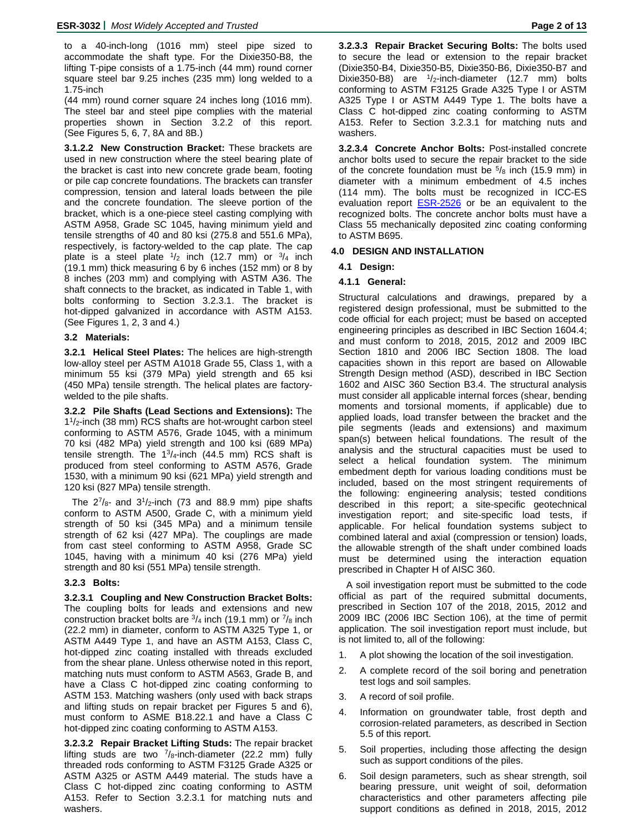to a 40-inch-long (1016 mm) steel pipe sized to accommodate the shaft type. For the Dixie350-B8, the lifting T-pipe consists of a 1.75-inch (44 mm) round corner square steel bar 9.25 inches (235 mm) long welded to a 1.75-inch

(44 mm) round corner square 24 inches long (1016 mm). The steel bar and steel pipe complies with the material properties shown in Section 3.2.2 of this report. (See Figures 5, 6, 7, 8A and 8B.)

**3.1.2.2 New Construction Bracket:** These brackets are used in new construction where the steel bearing plate of the bracket is cast into new concrete grade beam, footing or pile cap concrete foundations. The brackets can transfer compression, tension and lateral loads between the pile and the concrete foundation. The sleeve portion of the bracket, which is a one-piece steel casting complying with ASTM A958, Grade SC 1045, having minimum yield and tensile strengths of 40 and 80 ksi (275.8 and 551.6 MPa), respectively, is factory-welded to the cap plate. The cap plate is a steel plate  $\frac{1}{2}$  inch (12.7 mm) or  $\frac{3}{4}$  inch (19.1 mm) thick measuring 6 by 6 inches (152 mm) or 8 by 8 inches (203 mm) and complying with ASTM A36. The shaft connects to the bracket, as indicated in Table 1, with bolts conforming to Section 3.2.3.1. The bracket is hot-dipped galvanized in accordance with ASTM A153. (See Figures 1, 2, 3 and 4.)

## **3.2 Materials:**

**3.2.1 Helical Steel Plates:** The helices are high-strength low-alloy steel per ASTM A1018 Grade 55, Class 1, with a minimum 55 ksi (379 MPa) yield strength and 65 ksi (450 MPa) tensile strength. The helical plates are factorywelded to the pile shafts.

**3.2.2 Pile Shafts (Lead Sections and Extensions):** The 11/2-inch (38 mm) RCS shafts are hot-wrought carbon steel conforming to ASTM A576, Grade 1045, with a minimum 70 ksi (482 MPa) yield strength and 100 ksi (689 MPa) tensile strength. The  $1\frac{3}{4}$ -inch (44.5 mm) RCS shaft is produced from steel conforming to ASTM A576, Grade 1530, with a minimum 90 ksi (621 MPa) yield strength and 120 ksi (827 MPa) tensile strength.

The  $2^{7}/_{8}$ - and  $3^{1}/_{2}$ -inch (73 and 88.9 mm) pipe shafts conform to ASTM A500, Grade C, with a minimum yield strength of 50 ksi (345 MPa) and a minimum tensile strength of 62 ksi (427 MPa). The couplings are made from cast steel conforming to ASTM A958, Grade SC 1045, having with a minimum 40 ksi (276 MPa) yield strength and 80 ksi (551 MPa) tensile strength.

## **3.2.3 Bolts:**

**3.2.3.1 Coupling and New Construction Bracket Bolts:** The coupling bolts for leads and extensions and new construction bracket bolts are  $\frac{3}{4}$  inch (19.1 mm) or  $\frac{7}{8}$  inch (22.2 mm) in diameter, conform to ASTM A325 Type 1, or ASTM A449 Type 1, and have an ASTM A153, Class C, hot-dipped zinc coating installed with threads excluded from the shear plane. Unless otherwise noted in this report, matching nuts must conform to ASTM A563, Grade B, and have a Class C hot-dipped zinc coating conforming to ASTM 153. Matching washers (only used with back straps and lifting studs on repair bracket per Figures 5 and 6), must conform to ASME B18.22.1 and have a Class C hot-dipped zinc coating conforming to ASTM A153.

**3.2.3.2 Repair Bracket Lifting Studs:** The repair bracket lifting studs are two  $\frac{7}{8}$ -inch-diameter (22.2 mm) fully threaded rods conforming to ASTM F3125 Grade A325 or ASTM A325 or ASTM A449 material. The studs have a Class C hot-dipped zinc coating conforming to ASTM A153. Refer to Section 3.2.3.1 for matching nuts and washers.

**3.2.3.3 Repair Bracket Securing Bolts:** The bolts used to secure the lead or extension to the repair bracket (Dixie350-B4, Dixie350-B5, Dixie350-B6, Dixie350-B7 and Dixie350-B8) are  $1/2$ -inch-diameter (12.7 mm) bolts conforming to ASTM F3125 Grade A325 Type I or ASTM A325 Type I or ASTM A449 Type 1. The bolts have a Class C hot-dipped zinc coating conforming to ASTM A153. Refer to Section 3.2.3.1 for matching nuts and washers.

**3.2.3.4 Concrete Anchor Bolts:** Post-installed concrete anchor bolts used to secure the repair bracket to the side of the concrete foundation must be  $5/8$  inch (15.9 mm) in diameter with a minimum embedment of 4.5 inches (114 mm). The bolts must be recognized in ICC-ES evaluation report **[ESR-2526](https://icc-es.org/report-listing/ESR-2526/)** or be an equivalent to the recognized bolts. The concrete anchor bolts must have a Class 55 mechanically deposited zinc coating conforming to ASTM B695.

## **4.0 DESIGN AND INSTALLATION**

## **4.1 Design:**

## **4.1.1 General:**

Structural calculations and drawings, prepared by a registered design professional, must be submitted to the code official for each project; must be based on accepted engineering principles as described in IBC Section 1604.4; and must conform to 2018, 2015, 2012 and 2009 IBC Section 1810 and 2006 IBC Section 1808. The load capacities shown in this report are based on Allowable Strength Design method (ASD), described in IBC Section 1602 and AISC 360 Section B3.4. The structural analysis must consider all applicable internal forces (shear, bending moments and torsional moments, if applicable) due to applied loads, load transfer between the bracket and the pile segments (leads and extensions) and maximum span(s) between helical foundations. The result of the analysis and the structural capacities must be used to select a helical foundation system. The minimum embedment depth for various loading conditions must be included, based on the most stringent requirements of the following: engineering analysis; tested conditions described in this report; a site-specific geotechnical investigation report; and site-specific load tests, if applicable. For helical foundation systems subject to combined lateral and axial (compression or tension) loads, the allowable strength of the shaft under combined loads must be determined using the interaction equation prescribed in Chapter H of AISC 360.

A soil investigation report must be submitted to the code official as part of the required submittal documents, prescribed in Section 107 of the 2018, 2015, 2012 and 2009 IBC (2006 IBC Section 106), at the time of permit application. The soil investigation report must include, but is not limited to, all of the following:

- 1. A plot showing the location of the soil investigation.
- 2. A complete record of the soil boring and penetration test logs and soil samples.
- 3. A record of soil profile.
- 4. Information on groundwater table, frost depth and corrosion-related parameters, as described in Section 5.5 of this report.
- 5. Soil properties, including those affecting the design such as support conditions of the piles.
- 6. Soil design parameters, such as shear strength, soil bearing pressure, unit weight of soil, deformation characteristics and other parameters affecting pile support conditions as defined in 2018, 2015, 2012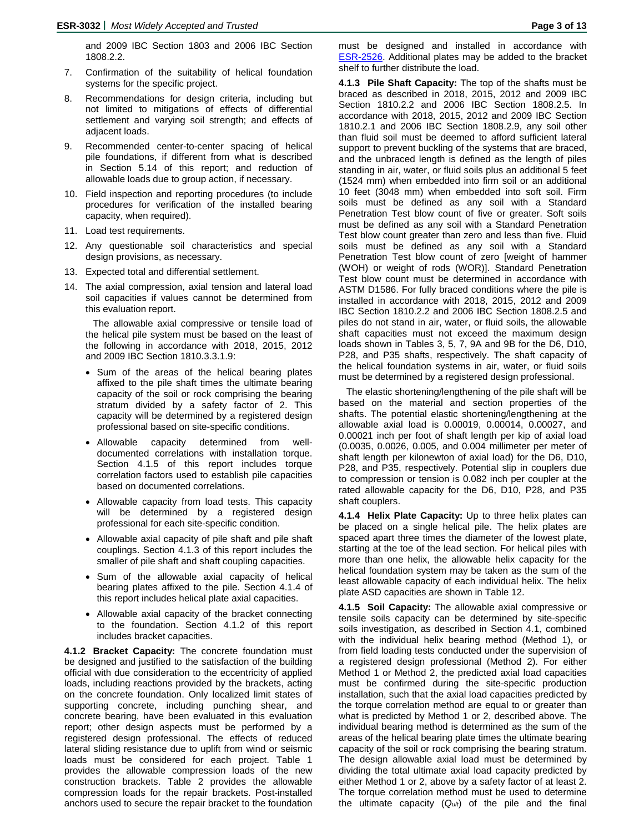and 2009 IBC Section 1803 and 2006 IBC Section 1808.2.2.

- 7. Confirmation of the suitability of helical foundation systems for the specific project.
- 8. Recommendations for design criteria, including but not limited to mitigations of effects of differential settlement and varying soil strength; and effects of adjacent loads.
- 9. Recommended center-to-center spacing of helical pile foundations, if different from what is described in Section 5.14 of this report; and reduction of allowable loads due to group action, if necessary.
- 10. Field inspection and reporting procedures (to include procedures for verification of the installed bearing capacity, when required).
- 11. Load test requirements.
- 12. Any questionable soil characteristics and special design provisions, as necessary.
- 13. Expected total and differential settlement.
- 14. The axial compression, axial tension and lateral load soil capacities if values cannot be determined from this evaluation report.

The allowable axial compressive or tensile load of the helical pile system must be based on the least of the following in accordance with 2018, 2015, 2012 and 2009 IBC Section 1810.3.3.1.9:

- Sum of the areas of the helical bearing plates affixed to the pile shaft times the ultimate bearing capacity of the soil or rock comprising the bearing stratum divided by a safety factor of 2. This capacity will be determined by a registered design professional based on site-specific conditions.
- Allowable capacity determined from welldocumented correlations with installation torque. Section 4.1.5 of this report includes torque correlation factors used to establish pile capacities based on documented correlations.
- Allowable capacity from load tests. This capacity will be determined by a registered design professional for each site-specific condition.
- Allowable axial capacity of pile shaft and pile shaft couplings. Section 4.1.3 of this report includes the smaller of pile shaft and shaft coupling capacities.
- Sum of the allowable axial capacity of helical bearing plates affixed to the pile. Section 4.1.4 of this report includes helical plate axial capacities.
- Allowable axial capacity of the bracket connecting to the foundation. Section 4.1.2 of this report includes bracket capacities.

**4.1.2 Bracket Capacity:** The concrete foundation must be designed and justified to the satisfaction of the building official with due consideration to the eccentricity of applied loads, including reactions provided by the brackets, acting on the concrete foundation. Only localized limit states of supporting concrete, including punching shear, and concrete bearing, have been evaluated in this evaluation report; other design aspects must be performed by a registered design professional. The effects of reduced lateral sliding resistance due to uplift from wind or seismic loads must be considered for each project. Table 1 provides the allowable compression loads of the new construction brackets. Table 2 provides the allowable compression loads for the repair brackets. Post-installed anchors used to secure the repair bracket to the foundation

must be designed and installed in accordance with **ESR-2526**. Additional plates may be added to the bracket shelf to further distribute the load.

**4.1.3 Pile Shaft Capacity:** The top of the shafts must be braced as described in 2018, 2015, 2012 and 2009 IBC Section 1810.2.2 and 2006 IBC Section 1808.2.5. In accordance with 2018, 2015, 2012 and 2009 IBC Section 1810.2.1 and 2006 IBC Section 1808.2.9, any soil other than fluid soil must be deemed to afford sufficient lateral support to prevent buckling of the systems that are braced, and the unbraced length is defined as the length of piles standing in air, water, or fluid soils plus an additional 5 feet (1524 mm) when embedded into firm soil or an additional 10 feet (3048 mm) when embedded into soft soil. Firm soils must be defined as any soil with a Standard Penetration Test blow count of five or greater. Soft soils must be defined as any soil with a Standard Penetration Test blow count greater than zero and less than five. Fluid soils must be defined as any soil with a Standard Penetration Test blow count of zero [weight of hammer (WOH) or weight of rods (WOR)]. Standard Penetration Test blow count must be determined in accordance with ASTM D1586. For fully braced conditions where the pile is installed in accordance with 2018, 2015, 2012 and 2009 IBC Section 1810.2.2 and 2006 IBC Section 1808.2.5 and piles do not stand in air, water, or fluid soils, the allowable shaft capacities must not exceed the maximum design loads shown in Tables 3, 5, 7, 9A and 9B for the D6, D10, P28, and P35 shafts, respectively. The shaft capacity of the helical foundation systems in air, water, or fluid soils must be determined by a registered design professional.

The elastic shortening/lengthening of the pile shaft will be based on the material and section properties of the shafts. The potential elastic shortening/lengthening at the allowable axial load is 0.00019, 0.00014, 0.00027, and 0.00021 inch per foot of shaft length per kip of axial load (0.0035, 0.0026, 0.005, and 0.004 millimeter per meter of shaft length per kilonewton of axial load) for the D6, D10, P28, and P35, respectively. Potential slip in couplers due to compression or tension is 0.082 inch per coupler at the rated allowable capacity for the D6, D10, P28, and P35 shaft couplers.

**4.1.4 Helix Plate Capacity:** Up to three helix plates can be placed on a single helical pile. The helix plates are spaced apart three times the diameter of the lowest plate, starting at the toe of the lead section. For helical piles with more than one helix, the allowable helix capacity for the helical foundation system may be taken as the sum of the least allowable capacity of each individual helix. The helix plate ASD capacities are shown in Table 12.

**4.1.5 Soil Capacity:** The allowable axial compressive or tensile soils capacity can be determined by site-specific soils investigation, as described in Section 4.1, combined with the individual helix bearing method (Method 1), or from field loading tests conducted under the supervision of a registered design professional (Method 2). For either Method 1 or Method 2, the predicted axial load capacities must be confirmed during the site-specific production installation, such that the axial load capacities predicted by the torque correlation method are equal to or greater than what is predicted by Method 1 or 2, described above. The individual bearing method is determined as the sum of the areas of the helical bearing plate times the ultimate bearing capacity of the soil or rock comprising the bearing stratum. The design allowable axial load must be determined by dividing the total ultimate axial load capacity predicted by either Method 1 or 2, above by a safety factor of at least 2. The torque correlation method must be used to determine the ultimate capacity (*Qult*) of the pile and the final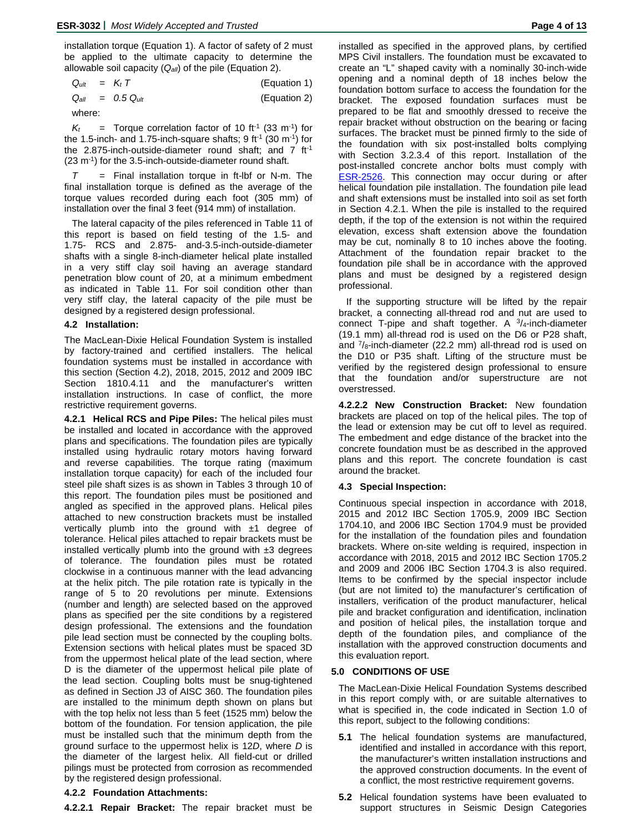installation torque (Equation 1). A factor of safety of 2 must be applied to the ultimate capacity to determine the allowable soil capacity (*Qall*) of the pile (Equation 2).

| $Q_{ult}$ = $K_t$ T |  | (Equation 1) |  |
|---------------------|--|--------------|--|
|                     |  |              |  |

*Qall = 0.5 Qult* (Equation 2)

where:

 $K_t$  = Torque correlation factor of 10 ft<sup>-1</sup> (33 m<sup>-1</sup>) for the 1.5-inch- and 1.75-inch-square shafts;  $9$  ft<sup>1</sup> (30 m<sup>-1</sup>) for the 2.875-inch-outside-diameter round shaft; and  $7 \text{ ft}^{-1}$  $(23 \text{ m}^{-1})$  for the 3.5-inch-outside-diameter round shaft.

*T* = Final installation torque in ft-lbf or N-m. The final installation torque is defined as the average of the torque values recorded during each foot (305 mm) of installation over the final 3 feet (914 mm) of installation.

The lateral capacity of the piles referenced in Table 11 of this report is based on field testing of the 1.5- and 1.75- RCS and 2.875- and-3.5-inch-outside-diameter shafts with a single 8-inch-diameter helical plate installed in a very stiff clay soil having an average standard penetration blow count of 20, at a minimum embedment as indicated in Table 11. For soil condition other than very stiff clay, the lateral capacity of the pile must be designed by a registered design professional.

#### **4.2 Installation:**

The MacLean-Dixie Helical Foundation System is installed by factory-trained and certified installers. The helical foundation systems must be installed in accordance with this section (Section 4.2), 2018, 2015, 2012 and 2009 IBC Section 1810.4.11 and the manufacturer's written installation instructions. In case of conflict, the more restrictive requirement governs.

**4.2.1 Helical RCS and Pipe Piles:** The helical piles must be installed and located in accordance with the approved plans and specifications. The foundation piles are typically installed using hydraulic rotary motors having forward and reverse capabilities. The torque rating (maximum installation torque capacity) for each of the included four steel pile shaft sizes is as shown in Tables 3 through 10 of this report. The foundation piles must be positioned and angled as specified in the approved plans. Helical piles attached to new construction brackets must be installed vertically plumb into the ground with  $±1$  degree of tolerance. Helical piles attached to repair brackets must be installed vertically plumb into the ground with  $±3$  degrees of tolerance. The foundation piles must be rotated clockwise in a continuous manner with the lead advancing at the helix pitch. The pile rotation rate is typically in the range of 5 to 20 revolutions per minute. Extensions (number and length) are selected based on the approved plans as specified per the site conditions by a registered design professional. The extensions and the foundation pile lead section must be connected by the coupling bolts. Extension sections with helical plates must be spaced 3D from the uppermost helical plate of the lead section, where D is the diameter of the uppermost helical pile plate of the lead section. Coupling bolts must be snug-tightened as defined in Section J3 of AISC 360. The foundation piles are installed to the minimum depth shown on plans but with the top helix not less than 5 feet (1525 mm) below the bottom of the foundation. For tension application, the pile must be installed such that the minimum depth from the ground surface to the uppermost helix is 12*D*, where *D* is the diameter of the largest helix. All field-cut or drilled pilings must be protected from corrosion as recommended by the registered design professional.

#### **4.2.2 Foundation Attachments:**

**4.2.2.1 Repair Bracket:** The repair bracket must be

installed as specified in the approved plans, by certified MPS Civil installers. The foundation must be excavated to create an "L" shaped cavity with a nominally 30-inch-wide opening and a nominal depth of 18 inches below the foundation bottom surface to access the foundation for the bracket. The exposed foundation surfaces must be prepared to be flat and smoothly dressed to receive the repair bracket without obstruction on the bearing or facing surfaces. The bracket must be pinned firmly to the side of the foundation with six post-installed bolts complying with Section 3.2.3.4 of this report. Installation of the post-installed concrete anchor bolts must comply with **[ESR-2526.](https://icc-es.org/report-listing/ESR-2526/)** This connection may occur during or after helical foundation pile installation. The foundation pile lead and shaft extensions must be installed into soil as set forth in Section 4.2.1. When the pile is installed to the required depth, if the top of the extension is not within the required elevation, excess shaft extension above the foundation may be cut, nominally 8 to 10 inches above the footing. Attachment of the foundation repair bracket to the foundation pile shall be in accordance with the approved plans and must be designed by a registered design professional.

If the supporting structure will be lifted by the repair bracket, a connecting all-thread rod and nut are used to connect T-pipe and shaft together. A  $3/4$ -inch-diameter (19.1 mm) all-thread rod is used on the D6 or P28 shaft, and  $\frac{7}{8}$ -inch-diameter (22.2 mm) all-thread rod is used on the D10 or P35 shaft. Lifting of the structure must be verified by the registered design professional to ensure that the foundation and/or superstructure are not overstressed.

**4.2.2.2 New Construction Bracket:** New foundation brackets are placed on top of the helical piles. The top of the lead or extension may be cut off to level as required. The embedment and edge distance of the bracket into the concrete foundation must be as described in the approved plans and this report. The concrete foundation is cast around the bracket.

#### **4.3 Special Inspection:**

Continuous special inspection in accordance with 2018, 2015 and 2012 IBC Section 1705.9, 2009 IBC Section 1704.10, and 2006 IBC Section 1704.9 must be provided for the installation of the foundation piles and foundation brackets. Where on-site welding is required, inspection in accordance with 2018, 2015 and 2012 IBC Section 1705.2 and 2009 and 2006 IBC Section 1704.3 is also required. Items to be confirmed by the special inspector include (but are not limited to) the manufacturer's certification of installers, verification of the product manufacturer, helical pile and bracket configuration and identification, inclination and position of helical piles, the installation torque and depth of the foundation piles, and compliance of the installation with the approved construction documents and this evaluation report.

#### **5.0 CONDITIONS OF USE**

The MacLean-Dixie Helical Foundation Systems described in this report comply with, or are suitable alternatives to what is specified in, the code indicated in Section 1.0 of this report, subject to the following conditions:

- **5.1** The helical foundation systems are manufactured, identified and installed in accordance with this report, the manufacturer's written installation instructions and the approved construction documents. In the event of a conflict, the most restrictive requirement governs.
- **5.2** Helical foundation systems have been evaluated to support structures in Seismic Design Categories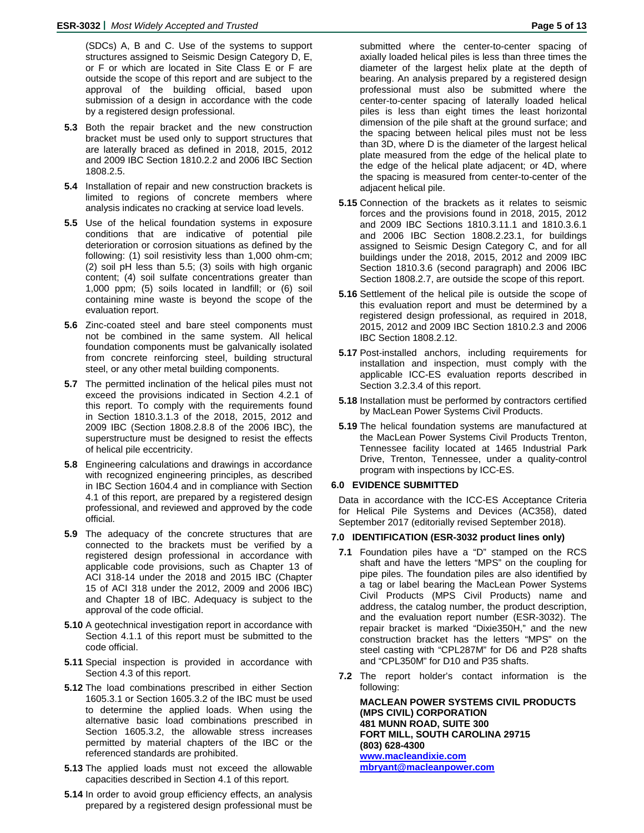(SDCs) A, B and C. Use of the systems to support structures assigned to Seismic Design Category D, E, or F or which are located in Site Class E or F are outside the scope of this report and are subject to the approval of the building official, based upon submission of a design in accordance with the code by a registered design professional.

- **5.3** Both the repair bracket and the new construction bracket must be used only to support structures that are laterally braced as defined in 2018, 2015, 2012 and 2009 IBC Section 1810.2.2 and 2006 IBC Section 1808.2.5.
- **5.4** Installation of repair and new construction brackets is limited to regions of concrete members where analysis indicates no cracking at service load levels.
- **5.5** Use of the helical foundation systems in exposure conditions that are indicative of potential pile deterioration or corrosion situations as defined by the following: (1) soil resistivity less than 1,000 ohm-cm; (2) soil pH less than 5.5; (3) soils with high organic content; (4) soil sulfate concentrations greater than 1,000 ppm; (5) soils located in landfill; or (6) soil containing mine waste is beyond the scope of the evaluation report.
- **5.6** Zinc-coated steel and bare steel components must not be combined in the same system. All helical foundation components must be galvanically isolated from concrete reinforcing steel, building structural steel, or any other metal building components.
- **5.7** The permitted inclination of the helical piles must not exceed the provisions indicated in Section 4.2.1 of this report. To comply with the requirements found in Section 1810.3.1.3 of the 2018, 2015, 2012 and 2009 IBC (Section 1808.2.8.8 of the 2006 IBC), the superstructure must be designed to resist the effects of helical pile eccentricity.
- **5.8** Engineering calculations and drawings in accordance with recognized engineering principles, as described in IBC Section 1604.4 and in compliance with Section 4.1 of this report, are prepared by a registered design professional, and reviewed and approved by the code official.
- **5.9** The adequacy of the concrete structures that are connected to the brackets must be verified by a registered design professional in accordance with applicable code provisions, such as Chapter 13 of ACI 318-14 under the 2018 and 2015 IBC (Chapter 15 of ACI 318 under the 2012, 2009 and 2006 IBC) and Chapter 18 of IBC. Adequacy is subject to the approval of the code official.
- **5.10** A geotechnical investigation report in accordance with Section 4.1.1 of this report must be submitted to the code official.
- **5.11** Special inspection is provided in accordance with Section 4.3 of this report.
- **5.12** The load combinations prescribed in either Section 1605.3.1 or Section 1605.3.2 of the IBC must be used to determine the applied loads. When using the alternative basic load combinations prescribed in Section 1605.3.2, the allowable stress increases permitted by material chapters of the IBC or the referenced standards are prohibited.
- **5.13** The applied loads must not exceed the allowable capacities described in Section 4.1 of this report.
- **5.14** In order to avoid group efficiency effects, an analysis prepared by a registered design professional must be

submitted where the center-to-center spacing of axially loaded helical piles is less than three times the diameter of the largest helix plate at the depth of bearing. An analysis prepared by a registered design professional must also be submitted where the center-to-center spacing of laterally loaded helical piles is less than eight times the least horizontal dimension of the pile shaft at the ground surface; and the spacing between helical piles must not be less than 3D, where D is the diameter of the largest helical plate measured from the edge of the helical plate to the edge of the helical plate adjacent; or 4D, where the spacing is measured from center-to-center of the adjacent helical pile.

- **5.15** Connection of the brackets as it relates to seismic forces and the provisions found in 2018, 2015, 2012 and 2009 IBC Sections 1810.3.11.1 and 1810.3.6.1 and 2006 IBC Section 1808.2.23.1, for buildings assigned to Seismic Design Category C, and for all buildings under the 2018, 2015, 2012 and 2009 IBC Section 1810.3.6 (second paragraph) and 2006 IBC Section 1808.2.7, are outside the scope of this report.
- **5.16** Settlement of the helical pile is outside the scope of this evaluation report and must be determined by a registered design professional, as required in 2018, 2015, 2012 and 2009 IBC Section 1810.2.3 and 2006 IBC Section 1808.2.12.
- **5.17** Post-installed anchors, including requirements for installation and inspection, must comply with the applicable ICC-ES evaluation reports described in Section 3.2.3.4 of this report.
- **5.18** Installation must be performed by contractors certified by MacLean Power Systems Civil Products.
- **5.19** The helical foundation systems are manufactured at the MacLean Power Systems Civil Products Trenton, Tennessee facility located at 1465 Industrial Park Drive, Trenton, Tennessee, under a quality-control program with inspections by ICC-ES.

## **6.0 EVIDENCE SUBMITTED**

Data in accordance with the ICC-ES Acceptance Criteria for Helical Pile Systems and Devices (AC358), dated September 2017 (editorially revised September 2018).

## **7.0 IDENTIFICATION (ESR-3032 product lines only)**

- **7.1** Foundation piles have a "D" stamped on the RCS shaft and have the letters "MPS" on the coupling for pipe piles. The foundation piles are also identified by a tag or label bearing the MacLean Power Systems Civil Products (MPS Civil Products) name and address, the catalog number, the product description, and the evaluation report number (ESR-3032). The repair bracket is marked "Dixie350H," and the new construction bracket has the letters "MPS" on the steel casting with "CPL287M" for D6 and P28 shafts and "CPL350M" for D10 and P35 shafts.
- **7.2** The report holder's contact information is the following:

**MACLEAN POWER SYSTEMS CIVIL PRODUCTS (MPS CIVIL) CORPORATION 481 MUNN ROAD, SUITE 300 FORT MILL, SOUTH CAROLINA 29715 (803) 628-4300 [www.macleandixie.com](http://www.macleandixie.com/) [mbryant@macleanpower.com](mailto:mbryant@macleanpower.com)**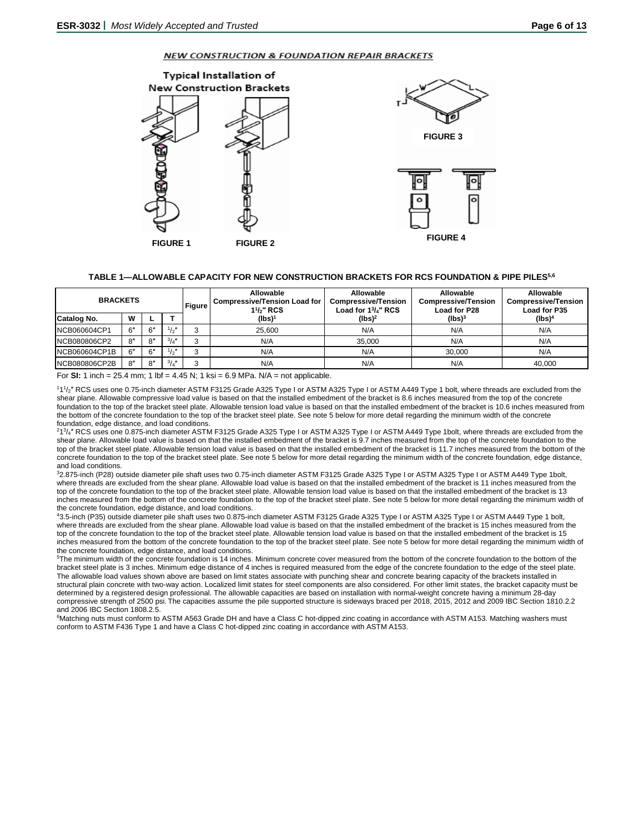#### NEW CONSTRUCTION & FOUNDATION REPAIR BRACKETS



## **TABLE 1—ALLOWABLE CAPACITY FOR NEW CONSTRUCTION BRACKETS FOR RCS FOUNDATION & PIPE PILES5,6**

| <b>BRACKETS</b><br><b>Figure</b> |     |              |               |  | Allowable<br><b>Compressive/Tension Load for I</b><br>$11/z''$ RCS | Allowable<br><b>Compressive/Tension</b><br>Load for 13/4" RCS | Allowable<br><b>Compressive/Tension</b><br>Load for P28 | Allowable<br><b>Compressive/Tension</b><br>Load for P35 |  |
|----------------------------------|-----|--------------|---------------|--|--------------------------------------------------------------------|---------------------------------------------------------------|---------------------------------------------------------|---------------------------------------------------------|--|
| Catalog No.                      | w   |              |               |  | (lbs) <sup>1</sup>                                                 | (lbs) <sup>2</sup>                                            | (lbs) <sup>3</sup>                                      | (lbs) <sup>4</sup>                                      |  |
| INCB060604CP1                    | 6"  | 6"           | $\frac{1}{2}$ |  | 25.600                                                             | N/A                                                           | N/A                                                     | N/A                                                     |  |
| INCB080806CP2                    | 8"  | 8″           | $^{3}/_{4}$ " |  | N/A                                                                | 35,000                                                        | N/A                                                     | N/A                                                     |  |
| NCB060604CP1B                    | 6"  | $6^{\prime}$ | $\frac{1}{2}$ |  | N/A                                                                | N/A                                                           | 30.000                                                  | N/A                                                     |  |
| NCB080806CP2B                    | 8'' | 8″           | $^{3}/_{4}$ " |  | N/A                                                                | N/A                                                           | N/A                                                     | 40.000                                                  |  |

For **SI:** 1 inch = 25.4 mm; 1 lbf = 4.45 N; 1 ksi = 6.9 MPa. N/A = not applicable.

<sup>111</sup>/<sub>2</sub>" RCS uses one 0.75-inch diameter ASTM F3125 Grade A325 Type I or ASTM A325 Type I or ASTM A449 Type 1 bolt, where threads are excluded from the shear plane. Allowable compressive load value is based on that the installed embedment of the bracket is 8.6 inches measured from the top of the concrete foundation to the top of the bracket steel plate. Allowable tension load value is based on that the installed embedment of the bracket is 10.6 inches measured from the bottom of the concrete foundation to the top of the bracket steel plate. See note 5 below for more detail regarding the minimum width of the concrete foundation, edge distance, and load conditions.

<sup>213</sup>/4" RCS uses one 0.875-inch diameter ASTM F3125 Grade A325 Type I or ASTM A325 Type I or ASTM A449 Type 1bolt, where threads are excluded from the shear plane. Allowable load value is based on that the installed embedment of the bracket is 9.7 inches measured from the top of the concrete foundation to the top of the bracket steel plate. Allowable tension load value is based on that the installed embedment of the bracket is 11.7 inches measured from the bottom of the concrete foundation to the top of the bracket steel plate. See note 5 below for more detail regarding the minimum width of the concrete foundation, edge distance, and load conditions.

32.875-inch (P28) outside diameter pile shaft uses two 0.75-inch diameter ASTM F3125 Grade A325 Type I or ASTM A325 Type I or ASTM A449 Type 1bolt, where threads are excluded from the shear plane. Allowable load value is based on that the installed embedment of the bracket is 11 inches measured from the top of the concrete foundation to the top of the bracket steel plate. Allowable tension load value is based on that the installed embedment of the bracket is 13 inches measured from the bottom of the concrete foundation to the top of the bracket steel plate. See note 5 below for more detail regarding the minimum width of the concrete foundation, edge distance, and load conditions.

43.5-inch (P35) outside diameter pile shaft uses two 0.875-inch diameter ASTM F3125 Grade A325 Type I or ASTM A325 Type I or ASTM A449 Type 1 bolt, where threads are excluded from the shear plane. Allowable load value is based on that the installed embedment of the bracket is 15 inches measured from the top of the concrete foundation to the top of the bracket steel plate. Allowable tension load value is based on that the installed embedment of the bracket is 15 inches measured from the bottom of the concrete foundation to the top of the bracket steel plate. See note 5 below for more detail regarding the minimum width of the concrete foundation, edge distance, and load conditions.

<sup>5</sup>The minimum width of the concrete foundation is 14 inches. Minimum concrete cover measured from the bottom of the concrete foundation to the bottom of the bracket steel plate is 3 inches. Minimum edge distance of 4 inches is required measured from the edge of the concrete foundation to the edge of the steel plate. The allowable load values shown above are based on limit states associate with punching shear and concrete bearing capacity of the brackets installed in structural plain concrete with two-way action. Localized limit states for steel components are also considered. For other limit states, the bracket capacity must be determined by a registered design professional. The allowable capacities are based on installation with normal-weight concrete having a minimum 28-day compressive strength of 2500 psi. The capacities assume the pile supported structure is sideways braced per 2018, 2015, 2012 and 2009 IBC Section 1810.2.2 and 2006 IBC Section 1808.2.5.

6 Matching nuts must conform to ASTM A563 Grade DH and have a Class C hot-dipped zinc coating in accordance with ASTM A153. Matching washers must conform to ASTM F436 Type 1 and have a Class C hot-dipped zinc coating in accordance with ASTM A153.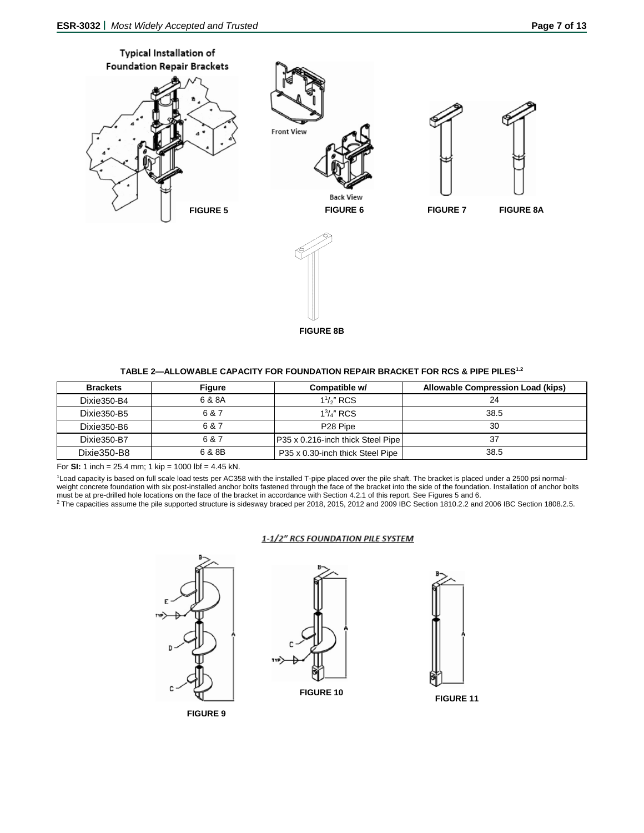

**FIGURE 8B**

## **TABLE 2—ALLOWABLE CAPACITY FOR FOUNDATION REPAIR BRACKET FOR RCS & PIPE PILES1.2**

| <b>Brackets</b> | Figure | Compatible w/                        | Allowable Compression Load (kips) |
|-----------------|--------|--------------------------------------|-----------------------------------|
| Dixie350-B4     | 6 & 8A | $1\frac{1}{2}$ " RCS                 | 24                                |
| Dixie350-B5     | 6 & 7  | $13/4$ " RCS                         | 38.5                              |
| Dixie350-B6     | 6 & 7  | P <sub>28</sub> Pipe                 | 30                                |
| Dixie350-B7     | 6 & 7  | IP35 x 0.216-inch thick Steel Pipe I | 37                                |
| Dixie350-B8     | 6 & 8B | P35 x 0.30-inch thick Steel Pipe     | 38.5                              |

For **SI:** 1 inch = 25.4 mm; 1 kip = 1000 lbf = 4.45 kN.

1Load capacity is based on full scale load tests per AC358 with the installed T-pipe placed over the pile shaft. The bracket is placed under a 2500 psi normalweight concrete foundation with six post-installed anchor bolts fastened through the face of the bracket into the side of the foundation. Installation of anchor bolts must be at pre-drilled hole locations on the face of the bracket in accordance with Section 4.2.1 of this report. See Figures 5 and 6.<br><sup>2</sup> The capacities assume the pile supported structure is sidesway braced per 2018, 201

#### 1-1/2" RCS FOUNDATION PILE SYSTEM

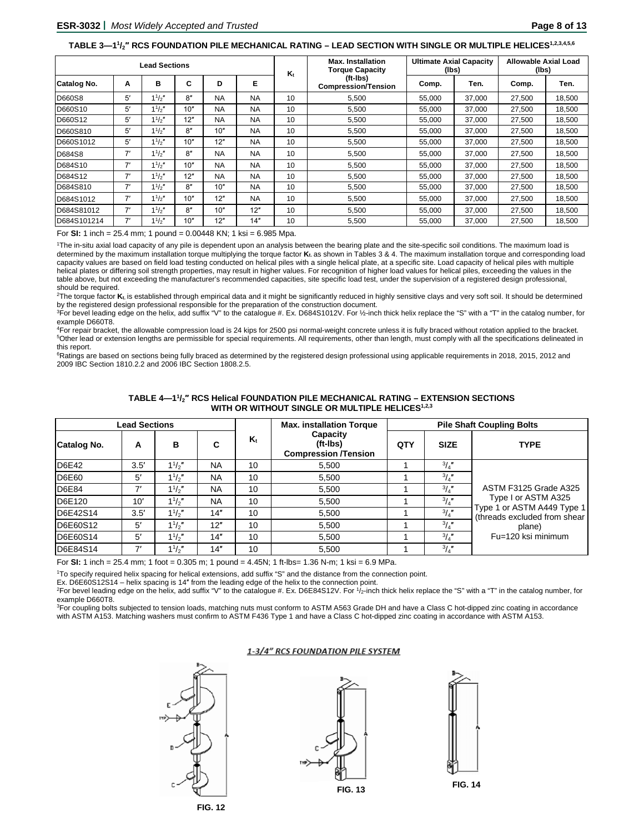#### **TABLE 3—11 /2″ RCS FOUNDATION PILE MECHANICAL RATING – LEAD SECTION WITH SINGLE OR MULTIPLE HELICES1,2,3,4,5,6**

|               | <b>Lead Sections</b> |             |     |           |           |    | <b>Max. Installation</b><br><b>Torque Capacity</b> | <b>Ultimate Axial Capacity</b><br>(lbs) |        | Allowable Axial Load<br>(lbs) |        |
|---------------|----------------------|-------------|-----|-----------|-----------|----|----------------------------------------------------|-----------------------------------------|--------|-------------------------------|--------|
| Catalog No.   | Α                    | в           | C   | D         | Е         | K. | (ft-Ibs)<br><b>Compression/Tension</b>             | Comp.                                   | Ten.   | Comp.                         | Ten.   |
| <b>D660S8</b> | 5′                   | $1^{1}/2$ " | 8"  | <b>NA</b> | <b>NA</b> | 10 | 5,500                                              | 55.000                                  | 37,000 | 27,500                        | 18,500 |
| D660S10       | 5′                   | $1^{1}/2$ " | 10" | <b>NA</b> | <b>NA</b> | 10 | 5.500                                              | 55.000                                  | 37,000 | 27,500                        | 18,500 |
| D660S12       | 5′                   | $1^{1}/2$ " | 12" | <b>NA</b> | <b>NA</b> | 10 | 5,500                                              | 55,000                                  | 37,000 | 27,500                        | 18,500 |
| D660S810      | 5′                   | $1^{1}/2$ " | 8"  | 10"       | <b>NA</b> | 10 | 5,500                                              | 55,000                                  | 37,000 | 27,500                        | 18,500 |
| D660S1012     | 5′                   | $1^{1}/2$ " | 10" | 12"       | <b>NA</b> | 10 | 5.500                                              | 55.000                                  | 37.000 | 27,500                        | 18,500 |
| D684S8        | 7'                   | 11/2"       | 8"  | <b>NA</b> | <b>NA</b> | 10 | 5,500                                              | 55,000                                  | 37,000 | 27,500                        | 18,500 |
| D684S10       | 7'                   | $1^{1}/2$ " | 10" | <b>NA</b> | <b>NA</b> | 10 | 5.500                                              | 55.000                                  | 37,000 | 27,500                        | 18,500 |
| D684S12       | 7'                   | $1^{1}/2$ " | 12" | <b>NA</b> | <b>NA</b> | 10 | 5,500                                              | 55,000                                  | 37,000 | 27,500                        | 18,500 |
| D684S810      | 7'                   | 11/2"       | 8"  | 10"       | <b>NA</b> | 10 | 5,500                                              | 55,000                                  | 37,000 | 27,500                        | 18,500 |
| D684S1012     | 7'                   | $1^{1}/2"$  | 10" | 12"       | <b>NA</b> | 10 | 5,500                                              | 55,000                                  | 37,000 | 27,500                        | 18,500 |
| D684S81012    | 7'                   | $1^{1}/2$ " | 8"  | 10"       | 12"       | 10 | 5,500                                              | 55,000                                  | 37,000 | 27,500                        | 18,500 |
| D684S101214   | 7'                   | 11/2"       | 10" | 12"       | 14"       | 10 | 5.500                                              | 55.000                                  | 37.000 | 27,500                        | 18,500 |

For **SI:** 1 inch = 25.4 mm; 1 pound = 0.00448 KN; 1 ksi = 6.985 Mpa.

1The in-situ axial load capacity of any pile is dependent upon an analysis between the bearing plate and the site-specific soil conditions. The maximum load is determined by the maximum installation torque multiplying the torque factor **Kt.** as shown in Tables 3 & 4. The maximum installation torque and corresponding load capacity values are based on field load testing conducted on helical piles with a single helical plate, at a specific site. Load capacity of helical piles with multiple helical plates or differing soil strength properties, may result in higher values. For recognition of higher load values for helical piles, exceeding the values in the table above, but not exceeding the manufacturer's recommended capacities, site specific load test, under the supervision of a registered design professional, should be required.

<sup>2</sup>The torque factor **K**<sub>t</sub> is established through empirical data and it might be significantly reduced in highly sensitive clays and very soft soil. It should be determined by the registered design professional responsible for the preparation of the construction document.

<sup>3</sup>For bevel leading edge on the helix, add suffix "V" to the catalogue #. Ex. D684S1012V. For ½-inch thick helix replace the "S" with a "T" in the catalog number, for example D660T8.

4For repair bracket, the allowable compression load is 24 kips for 2500 psi normal-weight concrete unless it is fully braced without rotation applied to the bracket. 5Other lead or extension lengths are permissible for special requirements. All requirements, other than length, must comply with all the specifications delineated in this report.

<sup>6</sup>Ratings are based on sections being fully braced as determined by the registered design professional using applicable requirements in 2018, 2015, 2012 and 2009 IBC Section 1810.2.2 and 2006 IBC Section 1808.2.5.

| TABLE 4-11/2" RCS Helical FOUNDATION PILE MECHANICAL RATING - EXTENSION SECTIONS |  |
|----------------------------------------------------------------------------------|--|
| WITH OR WITHOUT SINGLE OR MULTIPLE HELICES <sup>1,2,3</sup>                      |  |

|              | <b>Lead Sections</b> |             |           |                           | <b>Max. installation Torque</b>                     |     | <b>Pile Shaft Coupling Bolts</b> |                                                             |  |  |  |
|--------------|----------------------|-------------|-----------|---------------------------|-----------------------------------------------------|-----|----------------------------------|-------------------------------------------------------------|--|--|--|
| Catalog No.  | A                    | в           | С         | $\mathsf{K}_{\mathsf{t}}$ | Capacity<br>(ft-Ibs)<br><b>Compression /Tension</b> | QTY | <b>SIZE</b>                      | <b>TYPE</b>                                                 |  |  |  |
| <b>D6E42</b> | 3.5'                 | $1^{1/2}$   | <b>NA</b> | 10                        | 5.500                                               |     | $\frac{3}{4}$                    |                                                             |  |  |  |
| <b>D6E60</b> | 5'                   | $1^{1/2}$   | <b>NA</b> | 10                        | 5.500                                               |     | $^{3}/_{4}$ "                    |                                                             |  |  |  |
| <b>D6E84</b> | 7'                   | $1^{1}/2$ " | <b>NA</b> | 10                        | 5,500                                               |     | $\frac{3}{4}$ "                  | <b>ASTM F3125 Grade A325</b>                                |  |  |  |
| D6E120       | 10'                  | $1^{1}/2$ " | <b>NA</b> | 10                        | 5.500                                               |     | $^{3}/_{4}$ "                    | Type I or ASTM A325                                         |  |  |  |
| D6E42S14     | 3.5'                 | $1^{1/2}$   | 14"       | 10                        | 5.500                                               |     | $\frac{3}{4}$                    | Type 1 or ASTM A449 Type 1<br>(threads excluded from shear) |  |  |  |
| D6E60S12     | 5'                   | $1^{1}/2$ " | 12"       | 10                        | 5.500                                               |     | $^{3}/_{4}$ "                    | plane)                                                      |  |  |  |
| D6E60S14     | 5'                   | $1^{1}/2$ " | 14"       | 10                        | 5.500                                               |     | $^{3}/_{4}$ "                    | Fu=120 ksi minimum                                          |  |  |  |
| D6E84S14     | 7                    | $1^{1}/2$ " | 14"       | 10                        | 5,500                                               |     | $^{3}/_{4}$ "                    |                                                             |  |  |  |

For **SI:** 1 inch = 25.4 mm; 1 foot = 0.305 m; 1 pound = 4.45N; 1 ft-lbs= 1.36 N-m; 1 ksi = 6.9 MPa.

1To specify required helix spacing for helical extensions, add suffix "S" and the distance from the connection point.

Ex. D6E60S12S14 – helix spacing is 14″ from the leading edge of the helix to the connection point.

<sup>2</sup>For bevel leading edge on the helix, add suffix "V" to the catalogue #. Ex. D6E84S12V. For 1/2-inch thick helix replace the "S" with a "T" in the catalog number, for example D660T8.

<sup>3</sup>For coupling bolts subjected to tension loads, matching nuts must conform to ASTM A563 Grade DH and have a Class C hot-dipped zinc coating in accordance with ASTM A153. Matching washers must confirm to ASTM F436 Type 1 and have a Class C hot-dipped zinc coating in accordance with ASTM A153.

#### 1-3/4" RCS FOUNDATION PILE SYSTEM





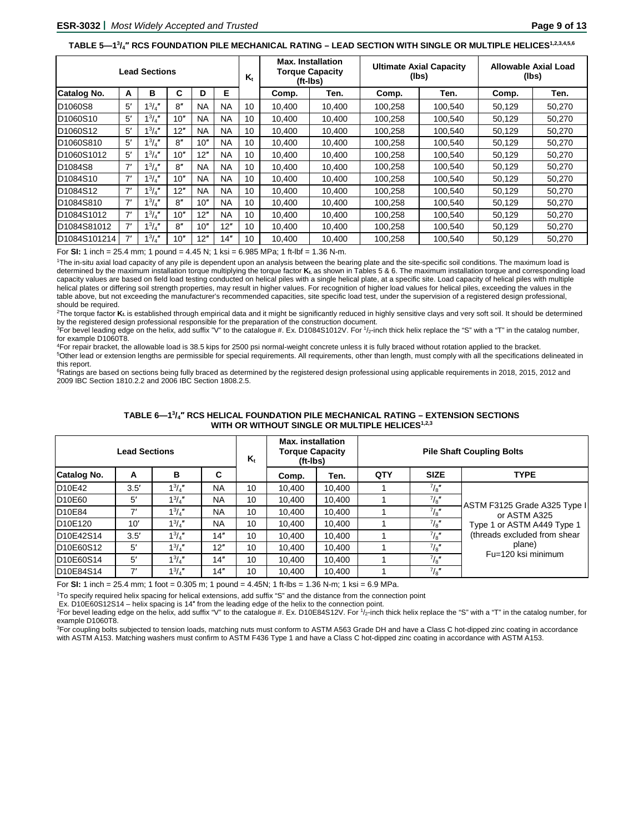#### **TABLE 5—13 /4″ RCS FOUNDATION PILE MECHANICAL RATING – LEAD SECTION WITH SINGLE OR MULTIPLE HELICES1,2,3,4,5,6**

|                                     | <b>Lead Sections</b> |                |     |           |           |                 | <b>Max. Installation</b><br><b>Torque Capacity</b><br>(ft-Ibs) |        | (lbs)   | <b>Ultimate Axial Capacity</b> | <b>Allowable Axial Load</b><br>(lbs) |        |  |
|-------------------------------------|----------------------|----------------|-----|-----------|-----------|-----------------|----------------------------------------------------------------|--------|---------|--------------------------------|--------------------------------------|--------|--|
| Catalog No.                         | A                    | в              | C   | D         | Е         |                 | Comp.                                                          | Ten.   | Comp.   | Ten.                           | Comp.                                | Ten.   |  |
| D <sub>1060</sub> S8                | 5′                   | $1^{3}/_{4}$ " | 8'' | <b>NA</b> | <b>NA</b> | 10              | 10.400                                                         | 10.400 | 100.258 | 100.540                        | 50.129                               | 50.270 |  |
| D <sub>1060</sub> S <sub>10</sub>   | 5'                   | $1^3/4''$      | 10" | <b>NA</b> | <b>NA</b> | 10 <sup>1</sup> | 10.400                                                         | 10.400 | 100.258 | 100,540                        | 50.129                               | 50,270 |  |
| ID1060S12                           | 5'                   | $1^{3}/_{4}$ " | 12" | <b>NA</b> | <b>NA</b> | 10              | 10.400                                                         | 10.400 | 100.258 | 100,540                        | 50.129                               | 50.270 |  |
| D <sub>1060</sub> S810              | 5'                   | $1^{3}/_{4}$ " | 8"  | 10"       | <b>NA</b> | 10 <sup>1</sup> | 10.400                                                         | 10.400 | 100.258 | 100.540                        | 50,129                               | 50,270 |  |
| D <sub>1060</sub> S <sub>1012</sub> | 5'                   | $1^3/4''$      | 10" | 12"       | <b>NA</b> | 10 <sup>1</sup> | 10,400                                                         | 10.400 | 100.258 | 100.540                        | 50.129                               | 50,270 |  |
| D <sub>1084</sub> S <sub>8</sub>    | 7'                   | $1^{3}/_{4}$ " | 8"  | <b>NA</b> | <b>NA</b> | 10              | 10.400                                                         | 10.400 | 100,258 | 100,540                        | 50,129                               | 50,270 |  |
| D <sub>1084</sub> S <sub>10</sub>   | 7'                   | $1^{3}/_{4}$ " | 10" | <b>NA</b> | <b>NA</b> | 10 <sup>1</sup> | 10.400                                                         | 10.400 | 100.258 | 100,540                        | 50,129                               | 50,270 |  |
| D <sub>1084</sub> S <sub>12</sub>   | 7'                   | $1^3/4''$      | 12" | <b>NA</b> | <b>NA</b> | 10              | 10,400                                                         | 10.400 | 100.258 | 100.540                        | 50,129                               | 50,270 |  |
| D <sub>1084</sub> S810              | 7'                   | $1^3/4''$      | 8"  | 10"       | <b>NA</b> | 10 <sup>1</sup> | 10.400                                                         | 10.400 | 100.258 | 100.540                        | 50.129                               | 50,270 |  |
| D <sub>1084</sub> S <sub>1012</sub> | 7'                   | $1^{3}/_{4}$ " | 10" | 12"       | <b>NA</b> | 10              | 10.400                                                         | 10,400 | 100.258 | 100,540                        | 50,129                               | 50,270 |  |
| D1084S81012                         | 7'                   | $1^{3}/_{4}$ " | 8'' | 10"       | 12"       | 10              | 10.400                                                         | 10.400 | 100.258 | 100.540                        | 50.129                               | 50,270 |  |
| D1084S101214                        | 7'                   | $1^{3}/_{4}$ " | 10" | 12"       | 14"       | 10              | 10.400                                                         | 10.400 | 100.258 | 100.540                        | 50.129                               | 50.270 |  |

For **SI:** 1 inch = 25.4 mm; 1 pound = 4.45 N; 1 ksi = 6.985 MPa; 1 ft-lbf = 1.36 N-m.

1The in-situ axial load capacity of any pile is dependent upon an analysis between the bearing plate and the site-specific soil conditions. The maximum load is determined by the maximum installation torque multiplying the torque factor **Kt.** as shown in Tables 5 & 6. The maximum installation torque and corresponding load capacity values are based on field load testing conducted on helical piles with a single helical plate, at a specific site. Load capacity of helical piles with multiple helical plates or differing soil strength properties, may result in higher values. For recognition of higher load values for helical piles, exceeding the values in the table above, but not exceeding the manufacturer's recommended capacities, site specific load test, under the supervision of a registered design professional, should be required.

<sup>2</sup>The torque factor **K<sub>t</sub> is established through empirical data and it might be significantly reduced in highly sensitive clays and very soft soil. It should be determined** by the registered design professional responsible for the preparation of the construction document.

<sup>3</sup>For bevel leading edge on the helix, add suffix "V" to the catalogue #. Ex. D1084S1012V. For 1/2-inch thick helix replace the "S" with a "T" in the catalog number, for example D1060T8.

4For repair bracket, the allowable load is 38.5 kips for 2500 psi normal-weight concrete unless it is fully braced without rotation applied to the bracket. 5Other lead or extension lengths are permissible for special requirements. All requirements, other than length, must comply with all the specifications delineated in this report.

<sup>6</sup>Ratings are based on sections being fully braced as determined by the registered design professional using applicable requirements in 2018, 2015, 2012 and 2009 IBC Section 1810.2.2 and 2006 IBC Section 1808.2.5.

| <b>Lead Sections</b>               |      |                |           |    | <b>Max.</b> installation<br><b>Torque Capacity</b><br>(ft-Ibs) |        | <b>Pile Shaft Coupling Bolts</b> |               |                                               |  |
|------------------------------------|------|----------------|-----------|----|----------------------------------------------------------------|--------|----------------------------------|---------------|-----------------------------------------------|--|
| C<br><b>Catalog No.</b><br>в<br>A  |      |                |           |    | Comp.                                                          | Ten.   | QTY                              | <b>SIZE</b>   | <b>TYPE</b>                                   |  |
| D <sub>10E42</sub>                 | 3.5' | $1^{3}/4''$    | <b>NA</b> | 10 | 10.400                                                         | 10.400 |                                  | $^{7}/_{8}$ " |                                               |  |
| D <sub>10</sub> E60                | 5′   | $1^{3}/_{4}$ " | <b>NA</b> | 10 | 10.400                                                         | 10.400 |                                  | $^{7}/_{8}$ " |                                               |  |
| D <sub>10E84</sub>                 | 7'   | $1^{3}/4"$     | <b>NA</b> | 10 | 10.400                                                         | 10.400 |                                  | $^{7}/_{8}$ " | ASTM F3125 Grade A325 Type II<br>or ASTM A325 |  |
| D <sub>10</sub> E <sub>120</sub>   | 10'  | $1^{3}/4$ "    | <b>NA</b> | 10 | 10.400                                                         | 10.400 |                                  | $^{7}/_{8}$ " | Type 1 or ASTM A449 Type 1                    |  |
| D <sub>10E42</sub> S <sub>14</sub> | 3.5' | $1^{3}/4$ "    | 14"       | 10 | 10.400                                                         | 10.400 |                                  | $^{7}/_{8}$ " | (threads excluded from shear                  |  |
| D <sub>10</sub> E60S <sub>12</sub> | 5′   | $1^{3}/4$ "    | 12"       | 10 | 10.400                                                         | 10.400 |                                  | $^{7}/_{8}$ " | plane)<br>Fu=120 ksi minimum                  |  |
| D <sub>10</sub> E60S <sub>14</sub> | 5'   | $1^{3}/4''$    | 14"       | 10 | 10.400                                                         | 10.400 |                                  | $^{7}/_{8}$ " |                                               |  |
| D <sub>10</sub> E84S <sub>14</sub> | 7'   | $1^{3}/_{4}$ " | 14"       | 10 | 10.400                                                         | 10.400 |                                  | $^{7}/_{8}$ " |                                               |  |

#### **TABLE 6—13 /4″ RCS HELICAL FOUNDATION PILE MECHANICAL RATING – EXTENSION SECTIONS** WITH OR WITHOUT SINGLE OR MULTIPLE HELICES<sup>1,2,3</sup>

For **SI:** 1 inch = 25.4 mm; 1 foot = 0.305 m; 1 pound = 4.45N; 1 ft-lbs = 1.36 N-m; 1 ksi = 6.9 MPa.

1To specify required helix spacing for helical extensions, add suffix "S" and the distance from the connection point

Ex. D10E60S12S14 – helix spacing is 14″ from the leading edge of the helix to the connection point.

<sup>2</sup>For bevel leading edge on the helix, add suffix "V" to the catalogue #. Ex. D10E84S12V. For  $1/2$ -inch thick helix replace the "S" with a "T" in the catalog number, for example D1060T8.

<sup>3</sup>For coupling bolts subjected to tension loads, matching nuts must conform to ASTM A563 Grade DH and have a Class C hot-dipped zinc coating in accordance with ASTM A153. Matching washers must confirm to ASTM F436 Type 1 and have a Class C hot-dipped zinc coating in accordance with ASTM A153.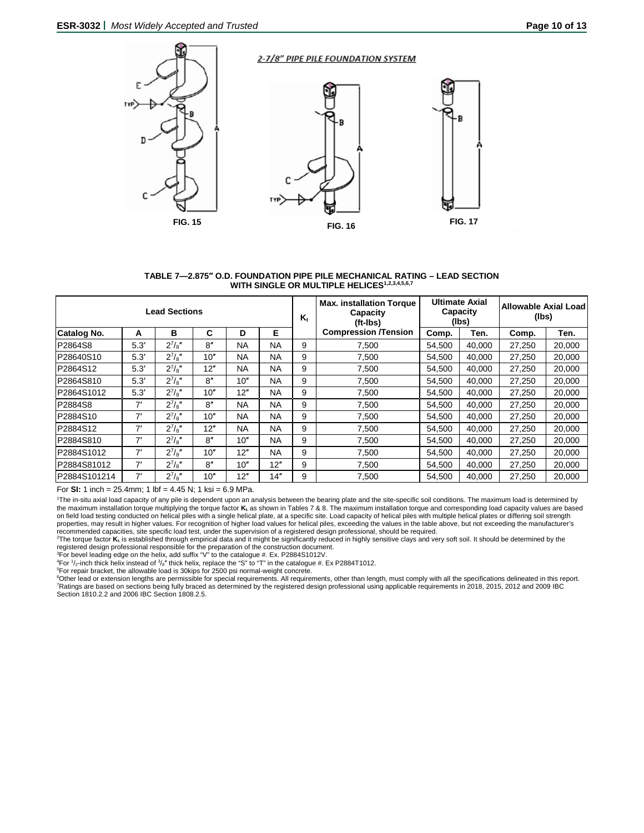

#### **TABLE 7—2.875″ O.D. FOUNDATION PIPE PILE MECHANICAL RATING – LEAD SECTION**  WITH SINGLE OR MULTIPLE HELICES<sup>1,2,3,4,5,6,7</sup>

|              |      | <b>Lead Sections</b> |     |           |           | K. | <b>Max. installation Torque</b><br>Capacity<br>$(ft - Ibs)$ |        | <b>Ultimate Axial</b><br>Capacity<br>(lbs) | Allowable Axial Load<br>(lbs) |        |
|--------------|------|----------------------|-----|-----------|-----------|----|-------------------------------------------------------------|--------|--------------------------------------------|-------------------------------|--------|
| Catalog No.  | A    | в                    | C   | D         | Е         |    | <b>Compression /Tension</b>                                 | Comp.  | Ten.                                       | Comp.                         | Ten.   |
| P2864S8      | 5.3' | $2^{7}/s''$          | 8"  | <b>NA</b> | <b>NA</b> | 9  | 7.500                                                       | 54.500 | 40.000                                     | 27,250                        | 20,000 |
| P28640S10    | 5.3' | $2^{7}/8"$           | 10" | <b>NA</b> | <b>NA</b> | 9  | 7,500                                                       | 54,500 | 40,000                                     | 27,250                        | 20,000 |
| P2864S12     | 5.3' | $2^{7}/s''$          | 12" | <b>NA</b> | <b>NA</b> | 9  | 7,500                                                       | 54,500 | 40,000                                     | 27,250                        | 20,000 |
| P2864S810    | 5.3' | $2^{7}/8"$           | 8'' | 10"       | <b>NA</b> | 9  | 7.500                                                       | 54.500 | 40.000                                     | 27,250                        | 20,000 |
| P2864S1012   | 5.3' | $2^{7}/s''$          | 10" | 12"       | <b>NA</b> | 9  | 7.500                                                       | 54.500 | 40.000                                     | 27.250                        | 20,000 |
| P2884S8      | 7'   | $2^{7}/8"$           | 8"  | <b>NA</b> | <b>NA</b> | 9  | 7,500                                                       | 54,500 | 40,000                                     | 27,250                        | 20,000 |
| P2884S10     | 7'   | $2^{7}/s''$          | 10" | <b>NA</b> | <b>NA</b> | 9  | 7.500                                                       | 54.500 | 40,000                                     | 27.250                        | 20,000 |
| P2884S12     | 7'   | $2^{7}/8"$           | 12" | <b>NA</b> | <b>NA</b> | 9  | 7,500                                                       | 54.500 | 40.000                                     | 27,250                        | 20,000 |
| P2884S810    | 7'   | $2^{7}/s''$          | 8"  | 10"       | <b>NA</b> | 9  | 7.500                                                       | 54.500 | 40.000                                     | 27,250                        | 20,000 |
| P2884S1012   | 7'   | $2^{7}/a''$          | 10" | 12"       | <b>NA</b> | 9  | 7.500                                                       | 54.500 | 40.000                                     | 27.250                        | 20,000 |
| P2884S81012  | 7'   | $2^{7}/s''$          | 8"  | 10"       | 12"       | 9  | 7.500                                                       | 54.500 | 40.000                                     | 27,250                        | 20,000 |
| P2884S101214 | 7'   | $2^{7}/s''$          | 10" | 12"       | 14"       | 9  | 7.500                                                       | 54.500 | 40.000                                     | 27.250                        | 20,000 |

For **SI:** 1 inch = 25.4mm; 1 lbf = 4.45 N; 1 ksi = 6.9 MPa.

1 The in-situ axial load capacity of any pile is dependent upon an analysis between the bearing plate and the site-specific soil conditions. The maximum load is determined by the maximum installation torque multiplying the torque factor **Kt.** as shown in Tables 7 & 8. The maximum installation torque and corresponding load capacity values are based on field load testing conducted on helical piles with a single helical plate, at a specific site. Load capacity of helical piles with multiple helical plates or differing soil strength properties, may result in higher values. For recognition of higher load values for helical piles, exceeding the values in the table above, but not exceeding the manufacturer's

recommended capacities, site specific load test, under the supervision of a registered design professional, should be required.<br><sup>2</sup>The torque factor **K**⊾is established through empirical data and it might be significantly registered design professional responsible for the preparation of the construction document.

<sup>3</sup>For bevel leading edge on the helix, add suffix "V" to the catalogue #. Ex. P2884S1012V.<br><sup>4</sup>For 1/<sub>2</sub>-inch thick helix instead of <sup>3</sup>/<sub>8</sub>″ thick helix, replace the "S" to "T" in the catalogue #. Ex P2884T1012.

5 For repair bracket, the allowable load is 30kips for 2500 psi normal-weight concrete.

<sup>6</sup>Other lead or extension lengths are permissible for special requirements. All requirements, other than length, must comply with all the specifications delineated in this report.<br><sup>7</sup>Ratings are based on sections being fu Section 1810.2.2 and 2006 IBC Section 1808.2.5.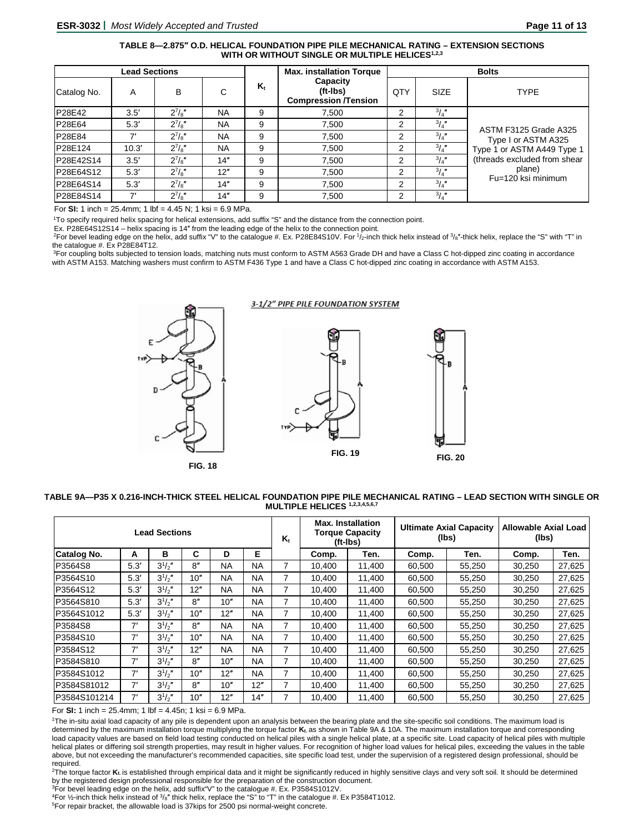## **TABLE 8—2.875″ O.D. HELICAL FOUNDATION PIPE PILE MECHANICAL RATING – EXTENSION SECTIONS** WITH OR WITHOUT SINGLE OR MULTIPLE HELICES<sup>1,2,3</sup>

|             | <b>Lead Sections</b> |             |           |                         | <b>Max. installation Torque</b>                     | <b>Bolts</b>   |               |                              |  |
|-------------|----------------------|-------------|-----------|-------------------------|-----------------------------------------------------|----------------|---------------|------------------------------|--|
| Catalog No. | A                    | в           | С         | $\mathsf{K}_\mathsf{t}$ | Capacity<br>(ft-Ibs)<br><b>Compression /Tension</b> | QTY            | <b>SIZE</b>   | <b>TYPE</b>                  |  |
| P28E42      | 3.5'                 | $2^{7}/8$ " | <b>NA</b> | 9                       | 7.500                                               | $\overline{2}$ | $^{3}/_{4}$ " |                              |  |
| P28E64      | 5.3'                 | $2^{7}/8$ " | <b>NA</b> | 9                       | 7.500                                               | $\overline{2}$ | $^{3}/_{4}$ " | ASTM F3125 Grade A325        |  |
| P28E84      |                      | $2^{7}/s''$ | <b>NA</b> | 9                       | 7.500                                               | $\overline{2}$ | $^{3}/_{4}$ " | Type I or ASTM A325          |  |
| P28E124     | 10.3'                | $2^{7}/8"$  | <b>NA</b> | 9                       | 7,500                                               | $\overline{2}$ | $^{3}/_{4}$ " | Type 1 or ASTM A449 Type 1   |  |
| P28E42S14   | 3.5'                 | $2^{7}/8$   | 14"       | 9                       | 7.500                                               | 2              | $\frac{3}{4}$ | (threads excluded from shear |  |
| P28E64S12   | 5.3'                 | $2^{7}/8$   | 12"       | 9                       | 7.500                                               | $\overline{2}$ | $^{3}/_{4}$ " | plane)<br>Fu=120 ksi minimum |  |
| P28E64S14   | 5.3'                 | $2^{7}/8"$  | 14"       | 9                       | 7.500                                               | 2              | $^{3}/_{4}$ " |                              |  |
| P28E84S14   | 71                   | $2^{7}/8$   | 14"       | 9                       | 7.500                                               | 2              | $^{3}/_{4}$ " |                              |  |

For **SI:** 1 inch = 25.4mm; 1 lbf = 4.45 N; 1 ksi = 6.9 MPa.

1To specify required helix spacing for helical extensions, add suffix "S" and the distance from the connection point.

Ex. P28E64S12S14 – helix spacing is 14″ from the leading edge of the helix to the connection point.

<sup>2</sup>For bevel leading edge on the helix, add suffix "V" to the catalogue #. Ex. P28E84S10V. For  $1/2$ -inch thick helix instead of  $3/8$ "-thick helix, replace the "S" with "T" in the catalogue #. Ex P28E84T12.

<sup>3</sup>For coupling bolts subjected to tension loads, matching nuts must conform to ASTM A563 Grade DH and have a Class C hot-dipped zinc coating in accordance with ASTM A153. Matching washers must confirm to ASTM F436 Type 1 and have a Class C hot-dipped zinc coating in accordance with ASTM A153.



#### **TABLE 9A—P35 X 0.216-INCH-THICK STEEL HELICAL FOUNDATION PIPE PILE MECHANICAL RATING – LEAD SECTION WITH SINGLE OR MULTIPLE HELICES 1,2,3,4,5,6,7**

| <b>Lead Sections</b> |      |             |     |           |           |   | <b>Max. Installation</b><br><b>Torque Capacity</b><br>(ft-Ibs) |        |        | <b>Ultimate Axial Capacity</b><br>(lbs) | Allowable Axial Load<br>(lbs) |        |
|----------------------|------|-------------|-----|-----------|-----------|---|----------------------------------------------------------------|--------|--------|-----------------------------------------|-------------------------------|--------|
| Catalog No.          | A    | в           | C   | D         | Е         |   | Comp.                                                          | Ten.   | Comp.  | Ten.                                    | Comp.                         | Ten.   |
| P3564S8              | 5.3' | $3^{1}/2$ " | 8'' | <b>NA</b> | <b>NA</b> | 7 | 10.400                                                         | 11,400 | 60,500 | 55,250                                  | 30,250                        | 27,625 |
| P3564S10             | 5.3' | $3^{1}/2$ " | 10" | <b>NA</b> | <b>NA</b> | 7 | 10.400                                                         | 11,400 | 60,500 | 55,250                                  | 30,250                        | 27,625 |
| P3564S12             | 5.3' | $3^{1}/2$   | 12" | <b>NA</b> | <b>NA</b> | 7 | 10.400                                                         | 11,400 | 60,500 | 55,250                                  | 30,250                        | 27,625 |
| P3564S810            | 5.3' | $3^{1/2}$   | 8″  | 10"       | <b>NA</b> | 7 | 10.400                                                         | 11.400 | 60.500 | 55.250                                  | 30,250                        | 27,625 |
| P3564S1012           | 5.3' | $3^{1}/2$ " | 10" | 12"       | NA.       | 7 | 10.400                                                         | 11,400 | 60,500 | 55,250                                  | 30,250                        | 27,625 |
| P3584S8              | 7'   | $3^{1/2}$   | 8'' | <b>NA</b> | <b>NA</b> | 7 | 10,400                                                         | 11,400 | 60,500 | 55,250                                  | 30,250                        | 27,625 |
| P3584S10             | 7'   | $3^{1}/2$ " | 10" | <b>NA</b> | <b>NA</b> | 7 | 10.400                                                         | 11,400 | 60,500 | 55.250                                  | 30,250                        | 27,625 |
| P3584S12             | 7'   | $3^{1/2}$   | 12" | <b>NA</b> | <b>NA</b> | 7 | 10.400                                                         | 11.400 | 60.500 | 55,250                                  | 30,250                        | 27,625 |
| P3584S810            | 7'   | $3^{1}/2''$ | 8"  | 10"       | <b>NA</b> | 7 | 10.400                                                         | 11,400 | 60.500 | 55,250                                  | 30,250                        | 27,625 |
| P3584S1012           | 7'   | $3^{1/2}$   | 10" | 12"       | <b>NA</b> | 7 | 10.400                                                         | 11,400 | 60,500 | 55,250                                  | 30,250                        | 27,625 |
| P3584S81012          | 7'   | $3^{1}/2$ " | 8'' | 10"       | 12"       | 7 | 10,400                                                         | 11,400 | 60,500 | 55.250                                  | 30,250                        | 27,625 |
| P3584S101214         | 7'   | $3^{1/2}$   | 10" | 12"       | 14"       | 7 | 10.400                                                         | 11.400 | 60.500 | 55,250                                  | 30,250                        | 27,625 |

For **SI:** 1 inch = 25.4mm; 1 lbf = 4.45n; 1 ksi = 6.9 MPa.

1The in-situ axial load capacity of any pile is dependent upon an analysis between the bearing plate and the site-specific soil conditions. The maximum load is determined by the maximum installation torque multiplying the torque factor **Kt.** as shown in Table 9A & 10A. The maximum installation torque and corresponding load capacity values are based on field load testing conducted on helical piles with a single helical plate, at a specific site. Load capacity of helical piles with multiple helical plates or differing soil strength properties, may result in higher values. For recognition of higher load values for helical piles, exceeding the values in the table above, but not exceeding the manufacturer's recommended capacities, site specific load test, under the supervision of a registered design professional, should be required.

<sup>2</sup>The torque factor **K**<sub>t</sub> is established through empirical data and it might be significantly reduced in highly sensitive clays and very soft soil. It should be determined by the registered design professional responsible for the preparation of the construction document.

3For bevel leading edge on the helix, add suffix"V" to the catalogue #. Ex. P3584S1012V.

<sup>4</sup>For ½-inch thick helix instead of  $3/8$ " thick helix, replace the "S" to "T" in the catalogue #. Ex P3584T1012.

5 For repair bracket, the allowable load is 37kips for 2500 psi normal-weight concrete.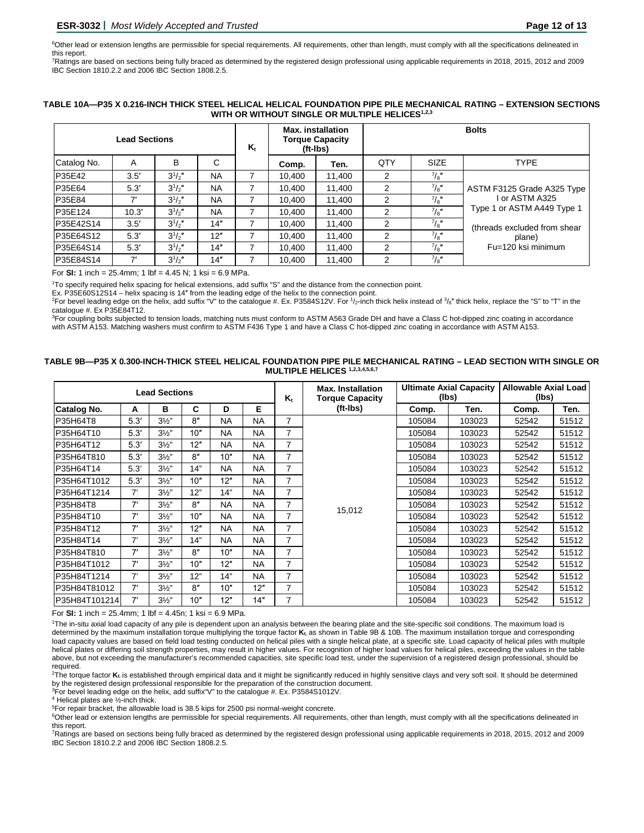6 Other lead or extension lengths are permissible for special requirements. All requirements, other than length, must comply with all the specifications delineated in this report.

7 Ratings are based on sections being fully braced as determined by the registered design professional using applicable requirements in 2018, 2015, 2012 and 2009 IBC Section 1810.2.2 and 2006 IBC Section 1808.2.5.

## **TABLE 10A—P35 X 0.216-INCH THICK STEEL HELICAL HELICAL FOUNDATION PIPE PILE MECHANICAL RATING – EXTENSION SECTIONS** WITH OR WITHOUT SINGLE OR MULTIPLE HELICES<sup>1,2,3</sup>

|             |       | $\mathsf{K}_\mathsf{t}$ |           | <b>Max.</b> installation<br><b>Torque Capacity</b><br>$(ft-lbs)$ | <b>Bolts</b> |        |               |               |                              |
|-------------|-------|-------------------------|-----------|------------------------------------------------------------------|--------------|--------|---------------|---------------|------------------------------|
| Catalog No. | A     | в                       | С         |                                                                  | Comp.        | Ten.   | QTY           | <b>SIZE</b>   | <b>TYPE</b>                  |
| P35E42      | 3.5'  | $3^{1/2}$               | <b>NA</b> |                                                                  | 10.400       | 11.400 | 2             | $^{7}/_{8}$ " |                              |
| P35E64      | 5.3'  | $3^{1/2}$               | <b>NA</b> |                                                                  | 10.400       | 11.400 | 2             | $^{7}/_{8}$ " | ASTM F3125 Grade A325 Type   |
| P35E84      | 71    | $3^{1/2}$               | <b>NA</b> |                                                                  | 10.400       | 11.400 | 2             | $^{7}/_{8}$ " | or ASTM A325                 |
| P35E124     | 10.3' | $3^{1/2}$               | <b>NA</b> |                                                                  | 10.400       | 11.400 | 2             | $^{7}/_{8}$ " | Type 1 or ASTM A449 Type 1   |
| P35E42S14   | 3.5'  | $3^{1/2}$               | 14"       |                                                                  | 10.400       | 11.400 | 2             | $^{7}/_{8}$ " | (threads excluded from shear |
| P35E64S12   | 5.3'  | $3^{1/2}$               | 12"       |                                                                  | 10.400       | 11.400 | 2             | $^{7}/_{8}$ " | plane)                       |
| P35E64S14   | 5.3'  | $3^{1/2}$               | 14"       |                                                                  | 10.400       | 11.400 | $\mathcal{P}$ | 7/8           | Fu=120 ksi minimum           |
| P35E84S14   | 7'    | $3^{1/2}$               | 14"       |                                                                  | 10.400       | 11,400 | 2             | $^{7}/_{8}$ " |                              |

For **SI:** 1 inch = 25.4mm; 1 lbf = 4.45 N; 1 ksi = 6.9 MPa.

1To specify required helix spacing for helical extensions, add suffix "S" and the distance from the connection point.

Ex. P35E60S12S14 – helix spacing is 14″ from the leading edge of the helix to the connection point.

<sup>2</sup>For bevel leading edge on the helix, add suffix "V" to the catalogue #. Ex. P3584S12V. For  $1/2$ -inch thick helix instead of  $3/8$ " thick helix, replace the "S" to "T" in the catalogue #. Ex P35E84T12.

3 For coupling bolts subjected to tension loads, matching nuts must conform to ASTM A563 Grade DH and have a Class C hot-dipped zinc coating in accordance with ASTM A153. Matching washers must confirm to ASTM F436 Type 1 and have a Class C hot-dipped zinc coating in accordance with ASTM A153.

#### **TABLE 9B—P35 X 0.300-INCH-THICK STEEL HELICAL FOUNDATION PIPE PILE MECHANICAL RATING – LEAD SECTION WITH SINGLE OR MULTIPLE HELICES 1,2,3,4,5,6,7**

| <b>Lead Sections</b> |      |                |     |           |           |                | <b>Max. Installation</b><br><b>Torque Capacity</b> | <b>Ultimate Axial Capacity</b><br>(lbs) |        | <b>Allowable Axial Load</b><br>(lbs) |       |
|----------------------|------|----------------|-----|-----------|-----------|----------------|----------------------------------------------------|-----------------------------------------|--------|--------------------------------------|-------|
| Catalog No.          | А    | в              | С   | D         | Е         |                | (ft-Ibs)                                           | Comp.                                   | Ten.   | Comp.                                | Ten.  |
| P35H64T8             | 5.3' | $3\frac{1}{2}$ | 8"  | <b>NA</b> | <b>NA</b> | 7              |                                                    | 105084                                  | 103023 | 52542                                | 51512 |
| P35H64T10            | 5.3' | $3\frac{1}{2}$ | 10" | <b>NA</b> | <b>NA</b> | 7              | 15,012                                             | 105084                                  | 103023 | 52542                                | 51512 |
| P35H64T12            | 5.3' | $3\frac{1}{2}$ | 12" | <b>NA</b> | <b>NA</b> | 7              |                                                    | 105084                                  | 103023 | 52542                                | 51512 |
| P35H64T810           | 5.3' | $3\frac{1}{2}$ | 8"  | 10"       | <b>NA</b> | 7              |                                                    | 105084                                  | 103023 | 52542                                | 51512 |
| P35H64T14            | 5.3' | $3\frac{1}{2}$ | 14" | <b>NA</b> | <b>NA</b> | 7              |                                                    | 105084                                  | 103023 | 52542                                | 51512 |
| P35H64T1012          | 5.3' | $3\frac{1}{2}$ | 10" | 12"       | <b>NA</b> | 7              |                                                    | 105084                                  | 103023 | 52542                                | 51512 |
| P35H64T1214          | 7'   | $3\frac{1}{2}$ | 12" | 14"       | <b>NA</b> | $\overline{7}$ |                                                    | 105084                                  | 103023 | 52542                                | 51512 |
| P35H84T8             | 7'   | $3\frac{1}{2}$ | 8"  | <b>NA</b> | <b>NA</b> | 7              |                                                    | 105084                                  | 103023 | 52542                                | 51512 |
| P35H84T10            | 7'   | $3\frac{1}{2}$ | 10" | <b>NA</b> | <b>NA</b> | 7              |                                                    | 105084                                  | 103023 | 52542                                | 51512 |
| P35H84T12            | 7'   | $3\frac{1}{2}$ | 12" | <b>NA</b> | <b>NA</b> | $\overline{7}$ |                                                    | 105084                                  | 103023 | 52542                                | 51512 |
| P35H84T14            | 7'   | $3\frac{1}{2}$ | 14" | <b>NA</b> | <b>NA</b> | $\overline{7}$ |                                                    | 105084                                  | 103023 | 52542                                | 51512 |
| P35H84T810           | 7'   | $3\frac{1}{2}$ | 8"  | 10"       | <b>NA</b> | 7              |                                                    | 105084                                  | 103023 | 52542                                | 51512 |
| P35H84T1012          | 7'   | $3\frac{1}{2}$ | 10" | 12"       | <b>NA</b> | 7              |                                                    | 105084                                  | 103023 | 52542                                | 51512 |
| P35H84T1214          | 7'   | $3\frac{1}{2}$ | 12" | 14"       | <b>NA</b> | $\overline{7}$ |                                                    | 105084                                  | 103023 | 52542                                | 51512 |
| P35H84T81012         | 7'   | $3\frac{1}{2}$ | 8"  | 10"       | 12"       | $\overline{7}$ |                                                    | 105084                                  | 103023 | 52542                                | 51512 |
| P35H84T101214        | 7'   | $3\frac{1}{2}$ | 10" | 12"       | 14"       | 7              |                                                    | 105084                                  | 103023 | 52542                                | 51512 |

For **SI:** 1 inch = 25.4mm; 1 lbf = 4.45n; 1 ksi = 6.9 MPa.

1 The in-situ axial load capacity of any pile is dependent upon an analysis between the bearing plate and the site-specific soil conditions. The maximum load is determined by the maximum installation torque multiplying the torque factor **Kt.** as shown in Table 9B & 10B. The maximum installation torque and corresponding load capacity values are based on field load testing conducted on helical piles with a single helical plate, at a specific site. Load capacity of helical piles with multiple helical plates or differing soil strength properties, may result in higher values. For recognition of higher load values for helical piles, exceeding the values in the table above, but not exceeding the manufacturer's recommended capacities, site specific load test, under the supervision of a registered design professional, should be required.

<sup>2</sup>The torque factor **K**<sub>t</sub> is established through empirical data and it might be significantly reduced in highly sensitive clays and very soft soil. It should be determined by the registered design professional responsible for the preparation of the construction document.

 $3$ For bevel leading edge on the helix, add suffix "V" to the catalogue #. Ex. P3584S1012V.<br>4 Helical plates are 1/<sub>2</sub>-inch thick.

<sup>5</sup>For repair bracket, the allowable load is 38.5 kips for 2500 psi normal-weight concrete.

<sup>6</sup>Other lead or extension lengths are permissible for special requirements. All requirements, other than length, must comply with all the specifications delineated in this report.

7Ratings are based on sections being fully braced as determined by the registered design professional using applicable requirements in 2018, 2015, 2012 and 2009 IBC Section 1810.2.2 and 2006 IBC Section 1808.2.5.